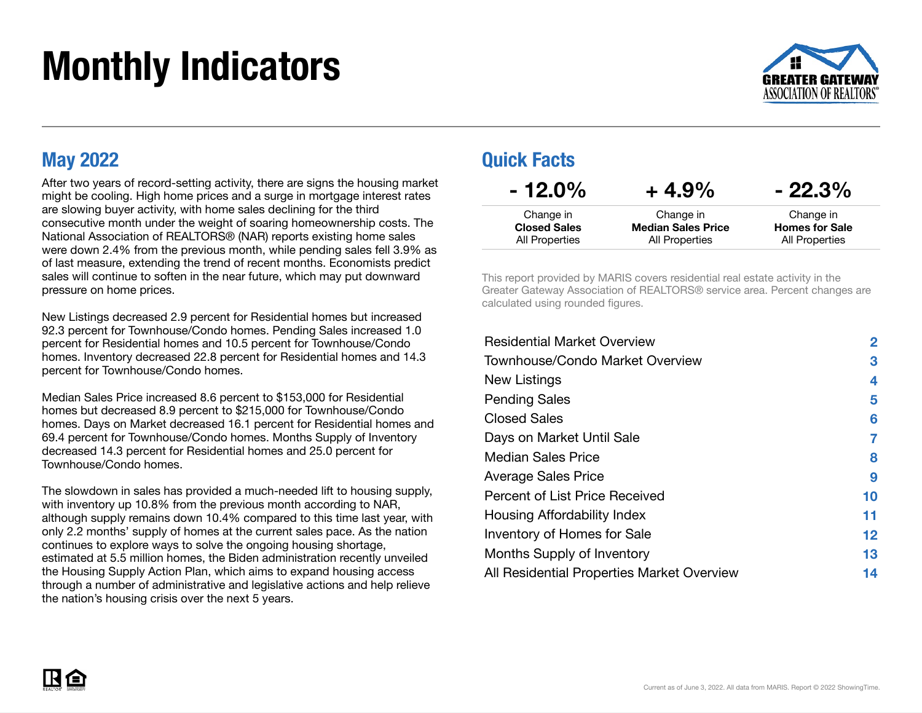# Monthly Indicators



### May 2022

After two years of record-setting activity, there are signs the housing market might be cooling. High home prices and a surge in mortgage interest rates are slowing buyer activity, with home sales declining for the third consecutive month under the weight of soaring homeownership costs. The National Association of REALTORS® (NAR) reports existing home sales were down 2.4% from the previous month, while pending sales fell 3.9% as of last measure, extending the trend of recent months. Economists predict sales will continue to soften in the near future, which may put downward pressure on home prices.

New Listings decreased 2.9 percent for Residential homes but increased 92.3 percent for Townhouse/Condo homes. Pending Sales increased 1.0 percent for Residential homes and 10.5 percent for Townhouse/Condo homes. Inventory decreased 22.8 percent for Residential homes and 14.3 percent for Townhouse/Condo homes.

Median Sales Price increased 8.6 percent to \$153,000 for Residential homes but decreased 8.9 percent to \$215,000 for Townhouse/Condo homes. Days on Market decreased 16.1 percent for Residential homes and 69.4 percent for Townhouse/Condo homes. Months Supply of Inventory decreased 14.3 percent for Residential homes and 25.0 percent for Townhouse/Condo homes.

The slowdown in sales has provided a much-needed lift to housing supply, with inventory up 10.8% from the previous month according to NAR, although supply remains down 10.4% compared to this time last year, with only 2.2 months' supply of homes at the current sales pace. As the nation continues to explore ways to solve the ongoing housing shortage, estimated at 5.5 million homes, the Biden administration recently unveiled the Housing Supply Action Plan, which aims to expand housing access through a number of administrative and legislative actions and help relieve the nation's housing crisis over the next 5 years.

### Quick Facts

| $-12.0\%$           | $+4.9%$                   | $-22.3%$              |
|---------------------|---------------------------|-----------------------|
| Change in           | Change in                 | Change in             |
| <b>Closed Sales</b> | <b>Median Sales Price</b> | <b>Homes for Sale</b> |
| All Properties      | All Properties            | All Properties        |

This report provided by MARIS covers residential real estate activity in the Greater Gateway Association of REALTORS® service area. Percent changes are calculated using rounded figures.

| <b>Residential Market Overview</b>         | $\mathbf{2}$    |
|--------------------------------------------|-----------------|
| Townhouse/Condo Market Overview            | 3               |
| New Listings                               | 4               |
| <b>Pending Sales</b>                       | 5               |
| <b>Closed Sales</b>                        | 6               |
| Days on Market Until Sale                  | 7               |
| <b>Median Sales Price</b>                  | 8               |
| <b>Average Sales Price</b>                 | 9               |
| Percent of List Price Received             | 10              |
| Housing Affordability Index                | 11              |
| Inventory of Homes for Sale                | 12 <sub>2</sub> |
| Months Supply of Inventory                 | 13              |
| All Residential Properties Market Overview | 14              |

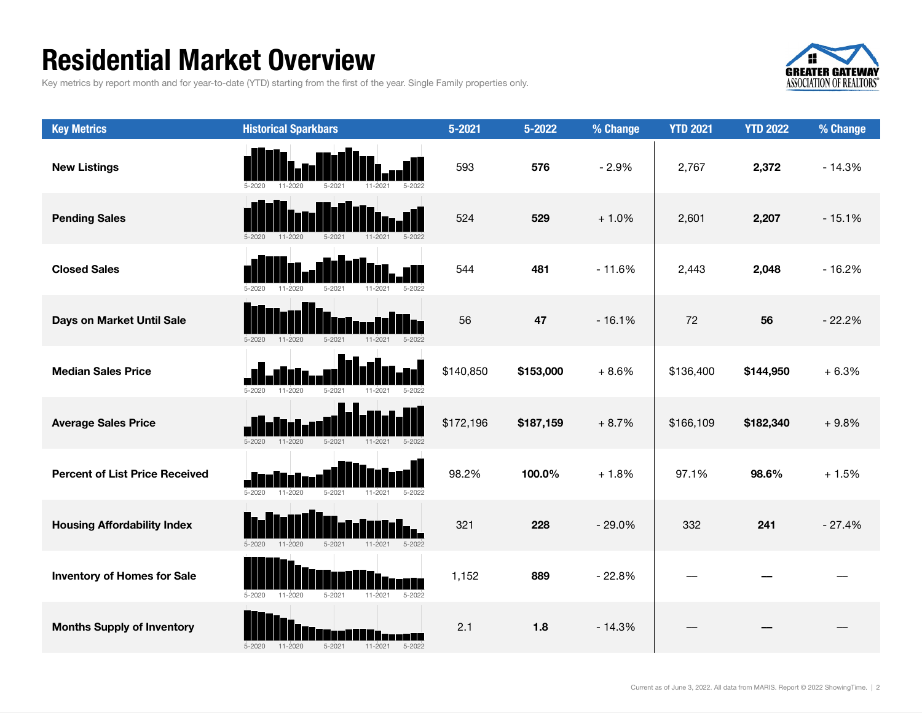### Residential Market Overview

Key metrics by report month and for year-to-date (YTD) starting from the first of the year. Single Family properties only.



| <b>Key Metrics</b>                    | <b>Historical Sparkbars</b>                                          | $5 - 2021$ | 5-2022    | % Change | <b>YTD 2021</b> | <b>YTD 2022</b> | % Change |
|---------------------------------------|----------------------------------------------------------------------|------------|-----------|----------|-----------------|-----------------|----------|
| <b>New Listings</b>                   | 5-2022                                                               | 593        | 576       | $-2.9%$  | 2,767           | 2,372           | $-14.3%$ |
| <b>Pending Sales</b>                  | $11 - 2020$<br>$5 - 2021$<br>$5 - 2020$<br>$11 - 2021$<br>$5 - 2022$ | 524        | 529       | $+1.0%$  | 2,601           | 2,207           | $-15.1%$ |
| <b>Closed Sales</b>                   | 11-2020<br>$5 - 2021$<br>11-2021<br>5-2022                           | 544        | 481       | $-11.6%$ | 2,443           | 2,048           | $-16.2%$ |
| Days on Market Until Sale             | $5 - 2021$<br>$5 - 2022$<br>$5 - 2020$<br>$11 - 2020$<br>11-2021     | 56         | 47        | $-16.1%$ | 72              | 56              | $-22.2%$ |
| <b>Median Sales Price</b>             | $5 - 2020$<br>$11 - 2020$<br>$5 - 2021$<br>$11 - 2021$<br>$5 - 2022$ | \$140,850  | \$153,000 | $+8.6%$  | \$136,400       | \$144,950       | $+6.3%$  |
| <b>Average Sales Price</b>            | $5 - 2020$<br>$11 - 2020$<br>$5 - 2021$<br>11-2021<br>$5 - 2022$     | \$172,196  | \$187,159 | $+8.7%$  | \$166,109       | \$182,340       | $+9.8%$  |
| <b>Percent of List Price Received</b> | $5 - 2020$<br>$11 - 2020$<br>$5 - 2021$<br>$5 - 2022$<br>11-2021     | 98.2%      | 100.0%    | $+1.8%$  | 97.1%           | 98.6%           | $+1.5%$  |
| <b>Housing Affordability Index</b>    | $11 - 2020$<br>$5 - 2021$<br>$11 - 2021$<br>$5 - 2022$<br>$5 - 2020$ | 321        | 228       | $-29.0%$ | 332             | 241             | $-27.4%$ |
| <b>Inventory of Homes for Sale</b>    | $5 - 2021$<br>11-2021<br>$5 - 2022$<br>$5 - 2020$<br>11-2020         | 1,152      | 889       | $-22.8%$ |                 |                 |          |
| <b>Months Supply of Inventory</b>     | $5 - 2020$<br>$11 - 2020$<br>$5 - 2021$<br>$11 - 2021$<br>$5 - 2022$ | 2.1        | 1.8       | $-14.3%$ |                 |                 |          |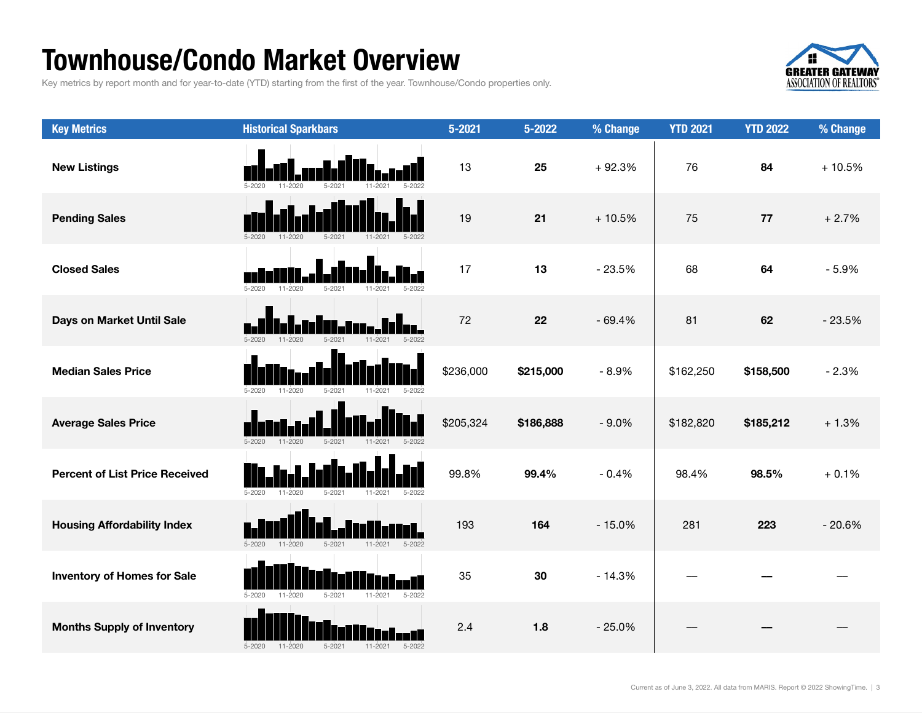### Townhouse/Condo Market Overview

Key metrics by report month and for year-to-date (YTD) starting from the first of the year. Townhouse/Condo properties only.



| <b>Key Metrics</b>                    | <b>Historical Sparkbars</b>                                          | $5 - 2021$ | 5-2022    | % Change | <b>YTD 2021</b> | <b>YTD 2022</b> | % Change |
|---------------------------------------|----------------------------------------------------------------------|------------|-----------|----------|-----------------|-----------------|----------|
| <b>New Listings</b>                   | $5 - 2020$                                                           | 13         | 25        | $+92.3%$ | 76              | 84              | $+10.5%$ |
| <b>Pending Sales</b>                  | $5 - 2020$<br>$11 - 2020$<br>$5 - 2021$<br>11-2021<br>$5 - 2022$     | 19         | 21        | $+10.5%$ | 75              | 77              | $+2.7%$  |
| <b>Closed Sales</b>                   | $5 - 2020$<br>$11 - 2020$<br>$5 - 2021$                              | 17         | 13        | $-23.5%$ | 68              | 64              | $-5.9%$  |
| Days on Market Until Sale             | $5 - 2020$<br>$11 - 2020$<br>$5 - 2021$<br>11-2021                   | 72         | 22        | $-69.4%$ | 81              | 62              | $-23.5%$ |
| <b>Median Sales Price</b>             | $5-2020$<br>$11 - 2020$<br>$5 - 2021$<br>$5 - 2022$<br>11-2021       | \$236,000  | \$215,000 | $-8.9%$  | \$162,250       | \$158,500       | $-2.3%$  |
| <b>Average Sales Price</b>            | $5 - 2020$<br>$11 - 2020$<br>5-2021<br>$11 - 2021$<br>5-2022         | \$205,324  | \$186,888 | $-9.0%$  | \$182,820       | \$185,212       | $+1.3%$  |
| <b>Percent of List Price Received</b> | $5 - 2020$<br>$5 - 2021$<br>$11 - 2021$<br>$11 - 2020$<br>5-2022     | 99.8%      | 99.4%     | $-0.4%$  | 98.4%           | 98.5%           | $+0.1%$  |
| <b>Housing Affordability Index</b>    | $11 - 2020$<br>$5 - 2021$<br>$11 - 2021$<br>$5 - 2022$<br>$5 - 2020$ | 193        | 164       | $-15.0%$ | 281             | 223             | $-20.6%$ |
| <b>Inventory of Homes for Sale</b>    | $11 - 2020$<br>$5 - 2020$<br>$5 - 2021$<br>$11 - 2021$<br>$5 - 2022$ | 35         | 30        | $-14.3%$ |                 |                 |          |
| <b>Months Supply of Inventory</b>     | $5 - 2020$<br>$11 - 2020$<br>$5 - 2021$<br>$11 - 2021$<br>$5 - 2022$ | 2.4        | 1.8       | $-25.0%$ |                 |                 |          |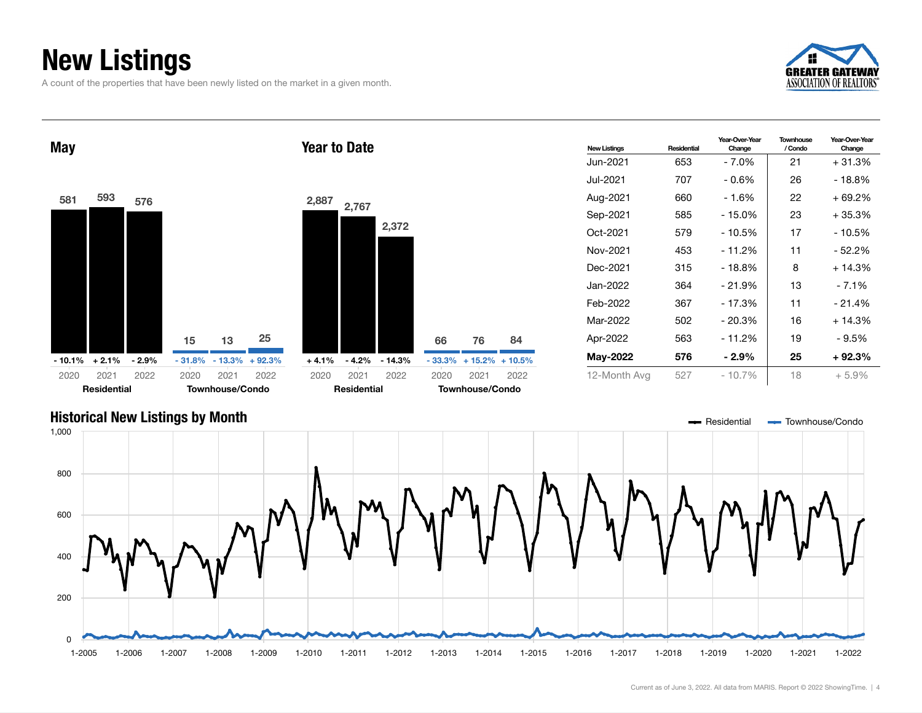## New Listings

A count of the properties that have been newly listed on the market in a given month.





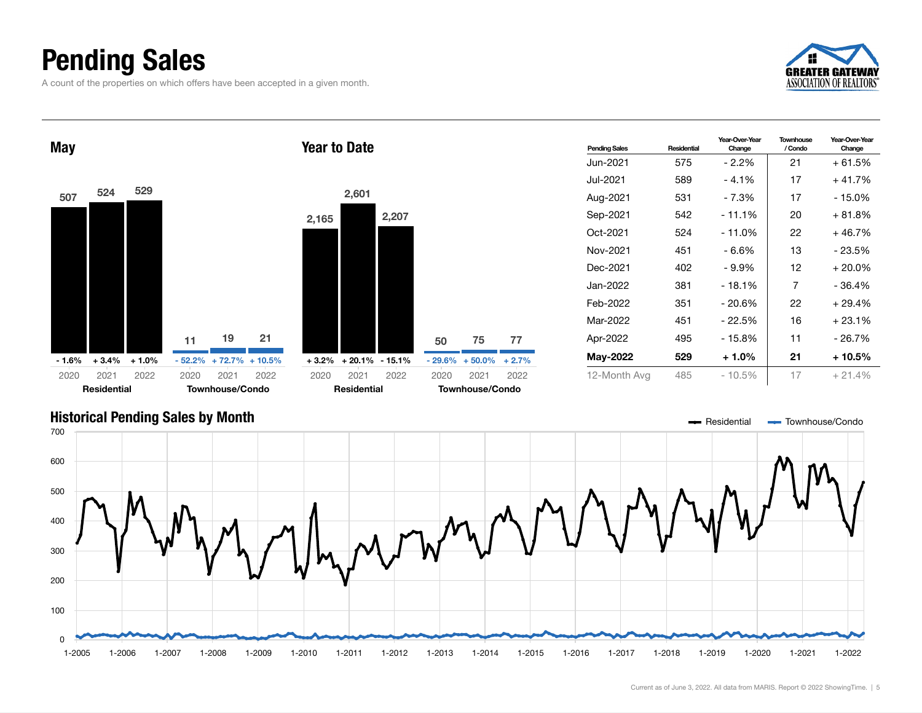## Pending Sales

A count of the properties on which offers have been accepted in a given month.







### Current as of June 3, 2022. All data from MARIS. Report © 2022 ShowingTime. | 5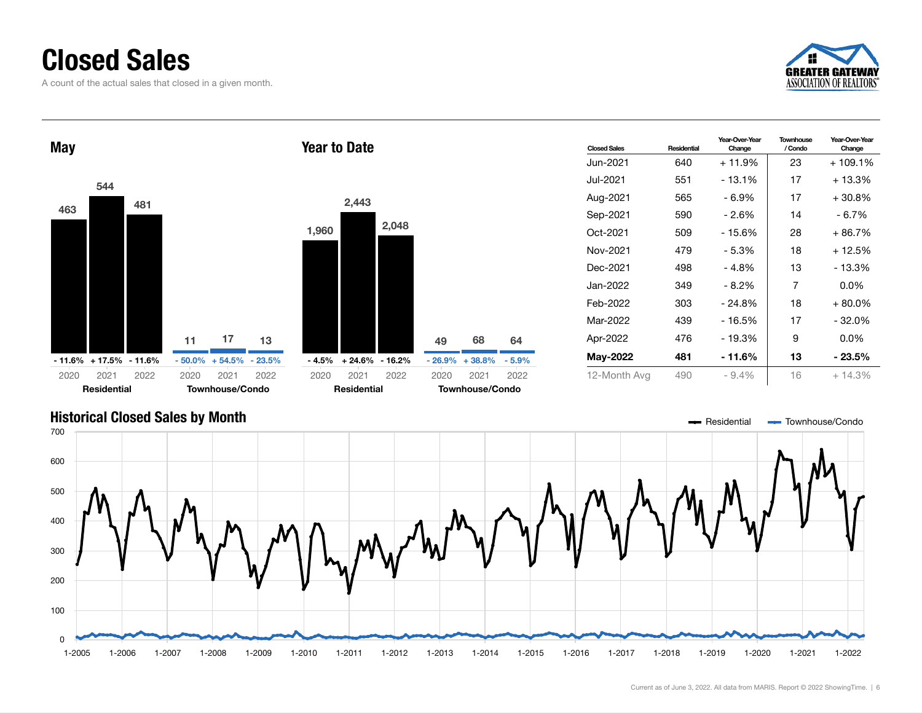### Closed Sales

A count of the actual sales that closed in a given month.





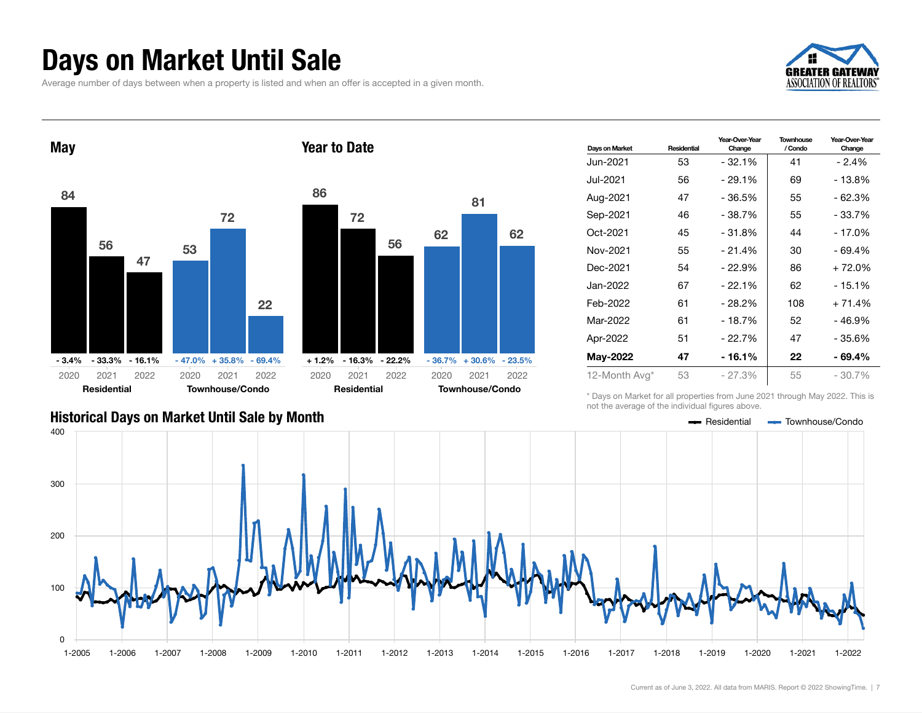### Days on Market Until Sale

Average number of days between when a property is listed and when an offer is accepted in a given month.





| Days on Market | Residential | Year-Over-Year<br>Change | Townhouse<br>/ Condo | Year-Over-Year<br>Change |
|----------------|-------------|--------------------------|----------------------|--------------------------|
| Jun-2021       | 53          | $-32.1%$                 | 41                   | $-2.4%$                  |
| Jul-2021       | 56          | $-29.1%$                 | 69                   | $-13.8%$                 |
| Aug-2021       | 47          | - 36.5%                  | 55                   | $-62.3%$                 |
| Sep-2021       | 46          | $-38.7%$                 | 55                   | - 33.7%                  |
| Oct-2021       | 45          | $-31.8%$                 | 44                   | $-17.0%$                 |
| Nov-2021       | 55          | $-21.4%$                 | 30                   | $-69.4%$                 |
| Dec-2021       | 54          | - 22.9%                  | 86                   | $+72.0%$                 |
| Jan-2022       | 67          | $-22.1%$                 | 62                   | $-15.1%$                 |
| Feb-2022       | 61          | $-28.2%$                 | 108                  | $+71.4%$                 |
| Mar-2022       | 61          | $-18.7%$                 | 52                   | - 46.9%                  |
| Apr-2022       | 51          | - 22.7%                  | 47                   | - 35.6%                  |
| May-2022       | 47          | - 16.1%                  | 22                   | - 69.4%                  |
| 12-Month Avg*  | 53          | $-27.3%$                 | 55                   | $-30.7\%$                |

\* Days on Market for all properties from June 2021 through May 2022. This is not the average of the individual figures above.



81

62

2021 2022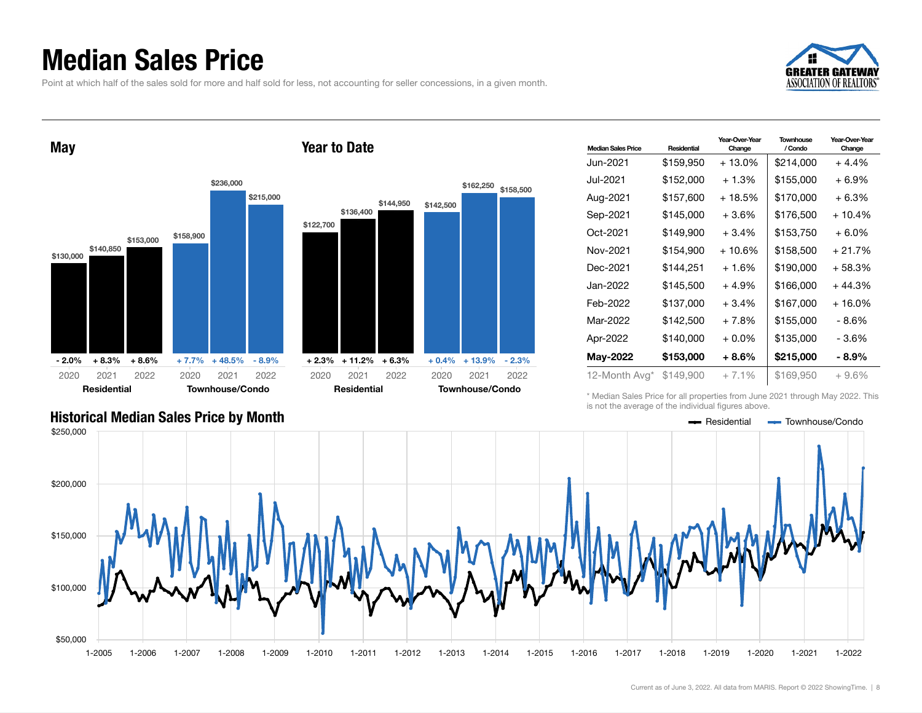### Median Sales Price

Point at which half of the sales sold for more and half sold for less, not accounting for seller concessions, in a given month.



May





\$236,000



| <b>Median Sales Price</b> | Residential | Year-Over-Year<br>Change | Townhouse<br>/ Condo | Year-Over-Year<br>Change |
|---------------------------|-------------|--------------------------|----------------------|--------------------------|
| Jun-2021.                 | \$159,950   | $+13.0\%$                | \$214.000            | $+4.4%$                  |
| Jul-2021                  | \$152,000   | $+1.3%$                  | \$155,000            | + 6.9%                   |
| Aug-2021                  | \$157,600   | + 18.5%                  | \$170,000            | $+6.3%$                  |
| Sep-2021                  | \$145,000   | $+3.6\%$                 | \$176,500            | $+10.4%$                 |
| Oct-2021                  | \$149,900   | $+3.4%$                  | \$153,750            | $+6.0\%$                 |
| Nov-2021                  | \$154,900   | $+10.6%$                 | \$158,500            | $+21.7%$                 |
| Dec-2021                  | \$144,251   | $+1.6%$                  | \$190,000            | + 58.3%                  |
| Jan-2022                  | \$145,500   | $+4.9%$                  | \$166,000            | $+44.3%$                 |
| Feb-2022                  | \$137,000   | $+3.4%$                  | \$167,000            | + 16.0%                  |
| Mar-2022                  | \$142,500   | + 7.8%                   | \$155,000            | - 8.6%                   |
| Apr-2022                  | \$140,000   | $+0.0\%$                 | \$135,000            | - 3.6%                   |
| May-2022                  | \$153,000   | $+8.6\%$                 | \$215,000            | - 8.9%                   |
| 12-Month Avg*             | \$149,900   | $+7.1%$                  | \$169,950            | $+9.6\%$                 |

\* Median Sales Price for all properties from June 2021 through May 2022. This is not the average of the individual figures above.

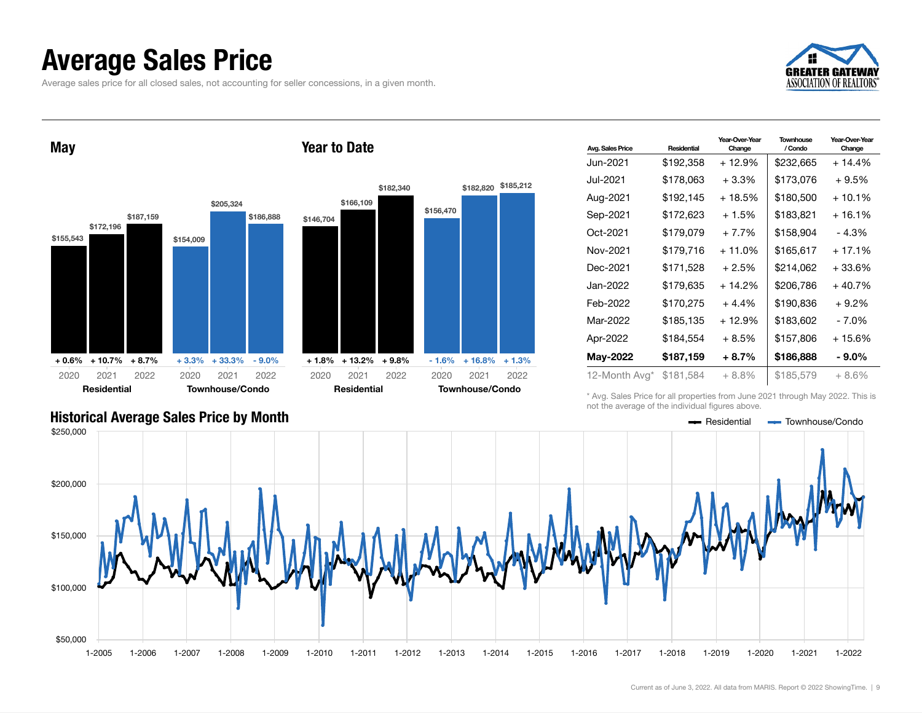### Average Sales Price

Average sales price for all closed sales, not accounting for seller concessions, in a given month.





| Avg. Sales Price | Residential | Year-Over-Year<br>Change | <b>Townhouse</b><br>/ Condo | Year-Over-Year<br>Change |
|------------------|-------------|--------------------------|-----------------------------|--------------------------|
| Jun-2021         | \$192,358   | $+12.9%$                 | \$232,665                   | $+14.4%$                 |
| Jul-2021.        | \$178,063   | $+3.3\%$                 | \$173,076                   | $+9.5%$                  |
| Aug-2021         | \$192,145   | $+18.5%$                 | \$180,500                   | $+10.1%$                 |
| Sep-2021         | \$172,623   | $+1.5%$                  | \$183,821                   | $+16.1%$                 |
| Oct-2021         | \$179,079   | $+7.7%$                  | \$158,904                   | $-4.3%$                  |
| Nov-2021         | \$179,716   | $+11.0%$                 | \$165,617                   | $+17.1%$                 |
| Dec-2021         | \$171,528   | $+2.5%$                  | \$214,062                   | + 33.6%                  |
| Jan-2022.        | \$179,635   | + 14.2%                  | \$206,786                   | $+40.7%$                 |
| Feb-2022         | \$170,275   | $+4.4%$                  | \$190,836                   | $+9.2%$                  |
| Mar-2022         | \$185,135   | $+12.9%$                 | \$183,602                   | - 7.0%                   |
| Apr-2022         | \$184,554   | + 8.5%                   | \$157,806                   | $+15.6%$                 |
| May-2022         | \$187,159   | + 8.7%                   | \$186,888                   | $-9.0\%$                 |
| 12-Month Avg*    | \$181,584   | $+8.8\%$                 | \$185,579                   | $+8.6\%$                 |

\* Avg. Sales Price for all properties from June 2021 through May 2022. This is not the average of the individual figures above.

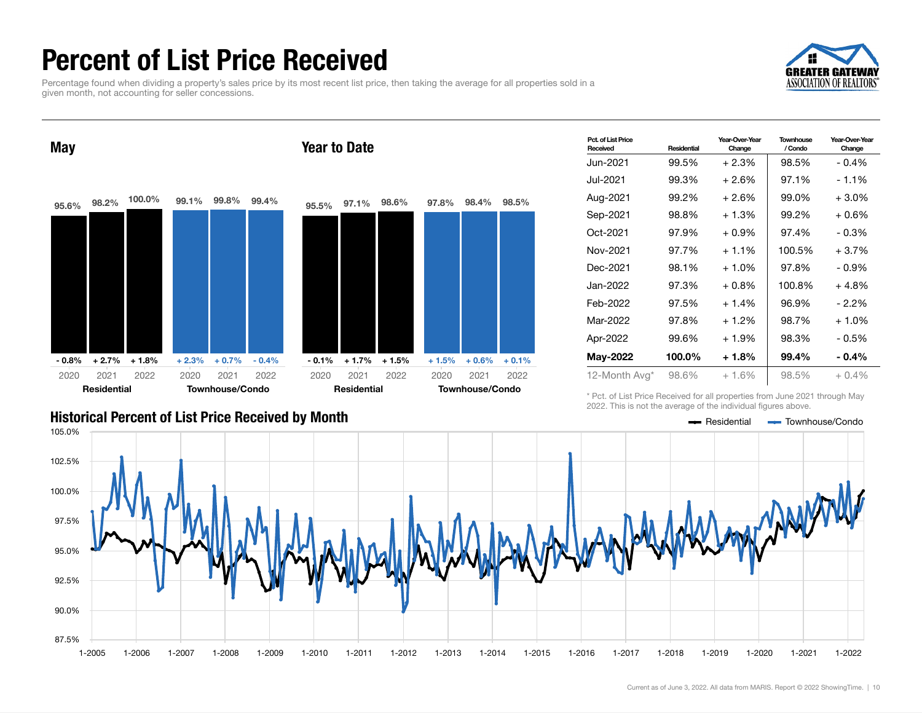## Percent of List Price Received

Percentage found when dividing a property's sales price by its most recent list price, then taking the average for all properties sold in a given month, not accounting for seller concessions.





| Pct. of List Price<br>Received | Residential | Year-Over-Year<br>Change | <b>Townhouse</b><br>/ Condo | Year-Over-Year<br>Change |
|--------------------------------|-------------|--------------------------|-----------------------------|--------------------------|
| Jun-2021                       | 99.5%       | $+2.3%$                  | 98.5%                       | $-0.4%$                  |
| Jul-2021.                      | 99.3%       | $+2.6%$                  | 97.1%                       | $-1.1\%$                 |
| Aug-2021                       | 99.2%       | $+2.6%$                  | 99.0%                       | $+3.0\%$                 |
| Sep-2021                       | 98.8%       | $+1.3%$                  | 99.2%                       | + 0.6%                   |
| Oct-2021                       | 97.9%       | $+0.9\%$                 | 97.4%                       | - 0.3%                   |
| Nov-2021                       | 97.7%       | $+1.1%$                  | 100.5%                      | $+3.7%$                  |
| Dec-2021                       | 98.1%       | $+1.0\%$                 | 97.8%                       | $-0.9\%$                 |
| Jan-2022                       | 97.3%       | $+0.8%$                  | 100.8%                      | $+4.8%$                  |
| Feb-2022                       | 97.5%       | $+1.4%$                  | 96.9%                       | $-2.2\%$                 |
| Mar-2022                       | 97.8%       | $+1.2%$                  | 98.7%                       | + 1.0%                   |
| Apr-2022                       | 99.6%       | $+1.9%$                  | 98.3%                       | - 0.5%                   |
| May-2022                       | 100.0%      | $+1.8%$                  | 99.4%                       | $-0.4\%$                 |
| 12-Month Avg*                  | 98.6%       | $+1.6%$                  | 98.5%                       | $+0.4%$                  |

\* Pct. of List Price Received for all properties from June 2021 through May 2022. This is not the average of the individual figures above.

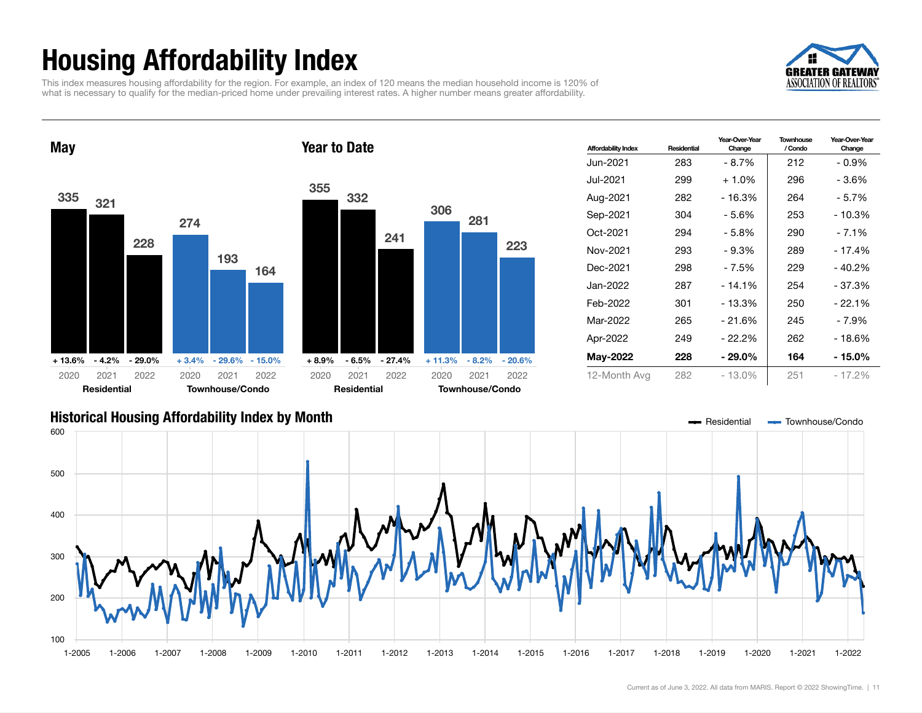## Housing Affordability Index

This index measures housing affordability for the region. For example, an index of 120 means the median household income is 120% of what is necessary to qualify for the median-priced home under prevailing interest rates. A higher number means greater affordability.







| <b>Affordability Index</b> | Residential | Year-Over-Year<br>Change | <b>Townhouse</b><br>/ Condo | Year-Over-Year<br>Change |
|----------------------------|-------------|--------------------------|-----------------------------|--------------------------|
| Jun-2021                   | 283         | $-8.7%$                  | 212                         | $-0.9%$                  |
| Jul-2021                   | 299         | $+1.0%$                  | 296                         | - 3.6%                   |
| Aug-2021                   | 282         | $-16.3%$                 | 264                         | - 5.7%                   |
| Sep-2021                   | 304         | - 5.6%                   | 253                         | - 10.3%                  |
| Oct-2021                   | 294         | $-5.8%$                  | 290                         | $-7.1%$                  |
| Nov-2021                   | 293         | $-9.3%$                  | 289                         | - 17.4%                  |
| Dec-2021                   | 298         | - 7.5%                   | 229                         | - 40.2%                  |
| Jan-2022                   | 287         | $-14.1%$                 | 254                         | - 37.3%                  |
| Feb-2022                   | 301         | - 13.3%                  | 250                         | $-22.1%$                 |
| Mar-2022                   | 265         | - 21.6%                  | 245                         | - 7.9%                   |
| Apr-2022                   | 249         | - 22.2%                  | 262                         | $-18.6%$                 |
| May-2022                   | 228         | - 29.0%                  | 164                         | - 15.0%                  |
| 12-Month Avg               | 282         | - 13.0%                  | 251                         | - 17.2%                  |

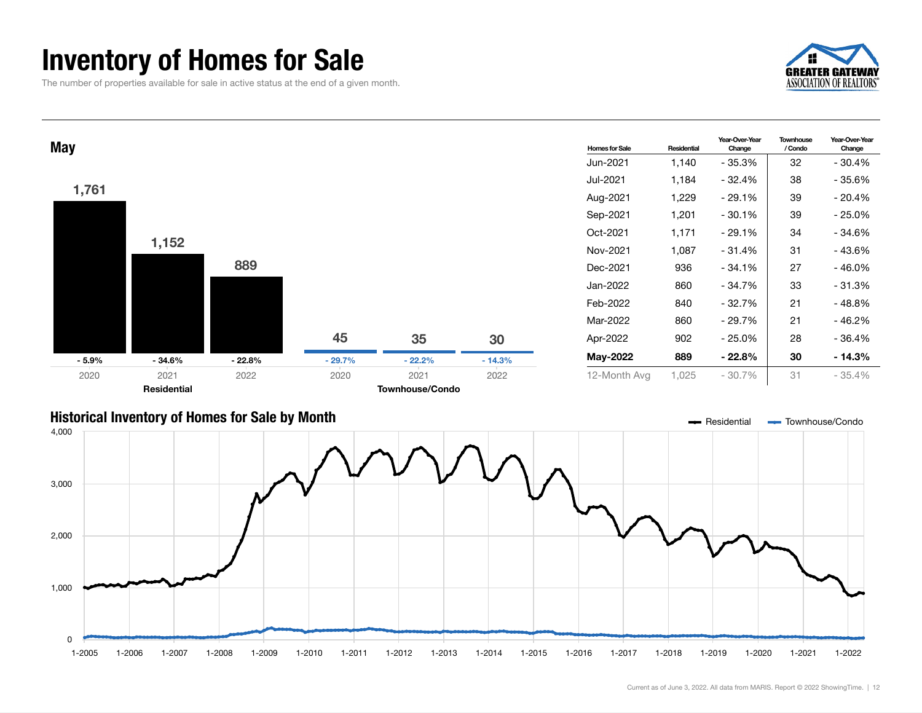### Inventory of Homes for Sale

The number of properties available for sale in active status at the end of a given month.





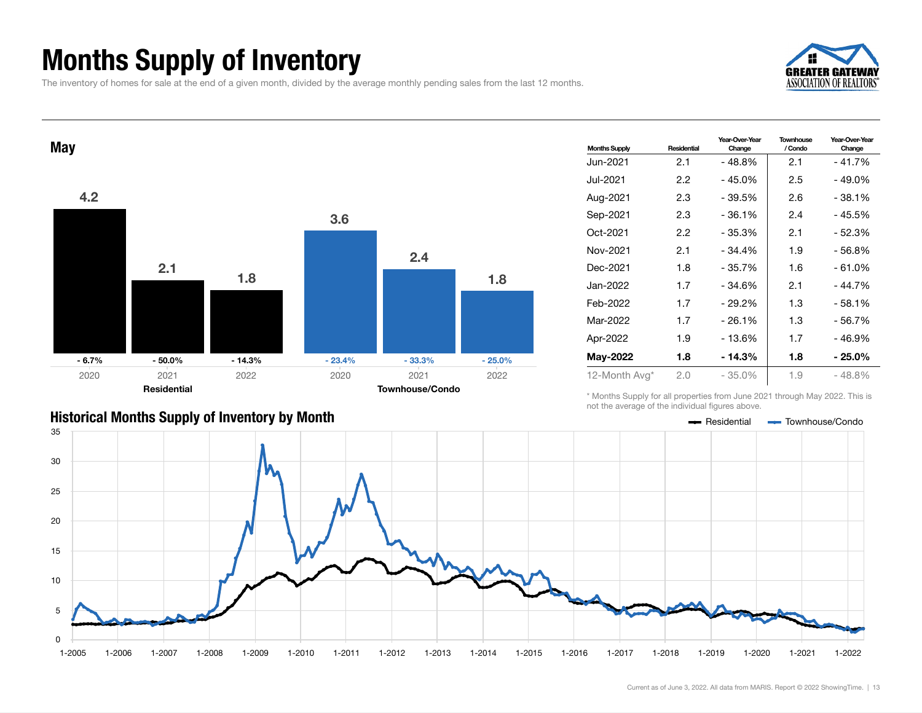## Months Supply of Inventory

The inventory of homes for sale at the end of a given month, divided by the average monthly pending sales from the last 12 months.





| <b>Months Supply</b> | Residential | Year-Over-Year<br>Change | Townhouse<br>/ Condo | Year-Over-Year<br>Change |
|----------------------|-------------|--------------------------|----------------------|--------------------------|
| Jun-2021.            | 2.1         | $-48.8%$                 | 2.1                  | - 41.7%                  |
| Jul-2021             | 2.2         | - 45.0%                  | 2.5                  | - 49.0%                  |
| Aug-2021             | 2.3         | $-39.5%$                 | 2.6                  | $-38.1%$                 |
| Sep-2021             | 2.3         | $-36.1%$                 | 2.4                  | - 45.5%                  |
| Oct-2021             | 2.2         | $-35.3%$                 | 2.1                  | - 52.3%                  |
| Nov-2021             | 2.1         | $-34.4%$                 | 1.9                  | - 56.8%                  |
| Dec-2021             | 1.8         | - 35.7%                  | 1.6                  | - 61.0%                  |
| Jan-2022             | 1.7         | $-34.6%$                 | 2.1                  | - 44.7%                  |
| Feb-2022             | 1.7         | $-29.2%$                 | 1.3                  | $-58.1%$                 |
| Mar-2022             | 1.7         | $-26.1%$                 | 1.3                  | - 56.7%                  |
| Apr-2022             | 1.9         | $-13.6%$                 | 1.7                  | - 46.9%                  |
| <b>May-2022</b>      | 1.8         | - 14.3%                  | 1.8                  | $-25.0\%$                |
| 12-Month Avg*        | 2.0         | $-35.0%$                 | 1.9                  | - 48.8%                  |

\* Months Supply for all properties from June 2021 through May 2022. This is not the average of the individual figures above.



### Historical Months Supply of Inventory by Month **Residential Townhouse/Condo**